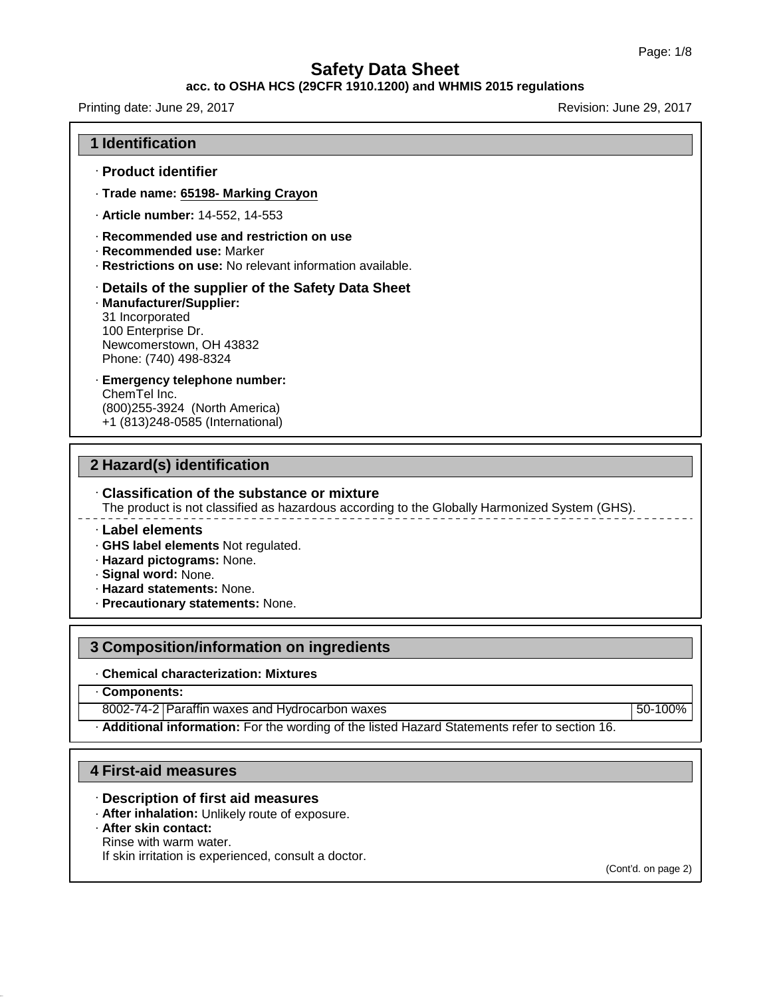### **acc. to OSHA HCS (29CFR 1910.1200) and WHMIS 2015 regulations**

Printing date: June 29, 2017 **Revision: June 29, 2017** Revision: June 29, 2017

### **1 Identification**

- · **Product identifier**
- · **Trade name: 65198- Marking Crayon**
- · **Article number:** 14-552, 14-553
- · **Recommended use and restriction on use**
- · **Recommended use:** Marker
- · **Restrictions on use:** No relevant information available.

### · **Details of the supplier of the Safety Data Sheet**

- · **Manufacturer/Supplier:** 31 Incorporated 100 Enterprise Dr. Newcomerstown, OH 43832 Phone: (740) 498-8324
- · **Emergency telephone number:** ChemTel Inc. (800)255-3924 (North America) +1 (813)248-0585 (International)

### **2 Hazard(s) identification**

### · **Classification of the substance or mixture**

The product is not classified as hazardous according to the Globally Harmonized System (GHS).

· **Label elements**

- · **GHS label elements** Not regulated.
- · **Hazard pictograms:** None.
- · **Signal word:** None.
- · **Hazard statements:** None.
- · **Precautionary statements:** None.

### **3 Composition/information on ingredients**

### · **Chemical characterization: Mixtures**

· **Components:**

8002-74-2 Paraffin waxes and Hydrocarbon waxes 50-100%

· **Additional information:** For the wording of the listed Hazard Statements refer to section 16.

## **4 First-aid measures**

- · **Description of first aid measures**
- · **After inhalation:** Unlikely route of exposure.
- · **After skin contact:**

45.1.0

Rinse with warm water.

If skin irritation is experienced, consult a doctor.

(Cont'd. on page 2)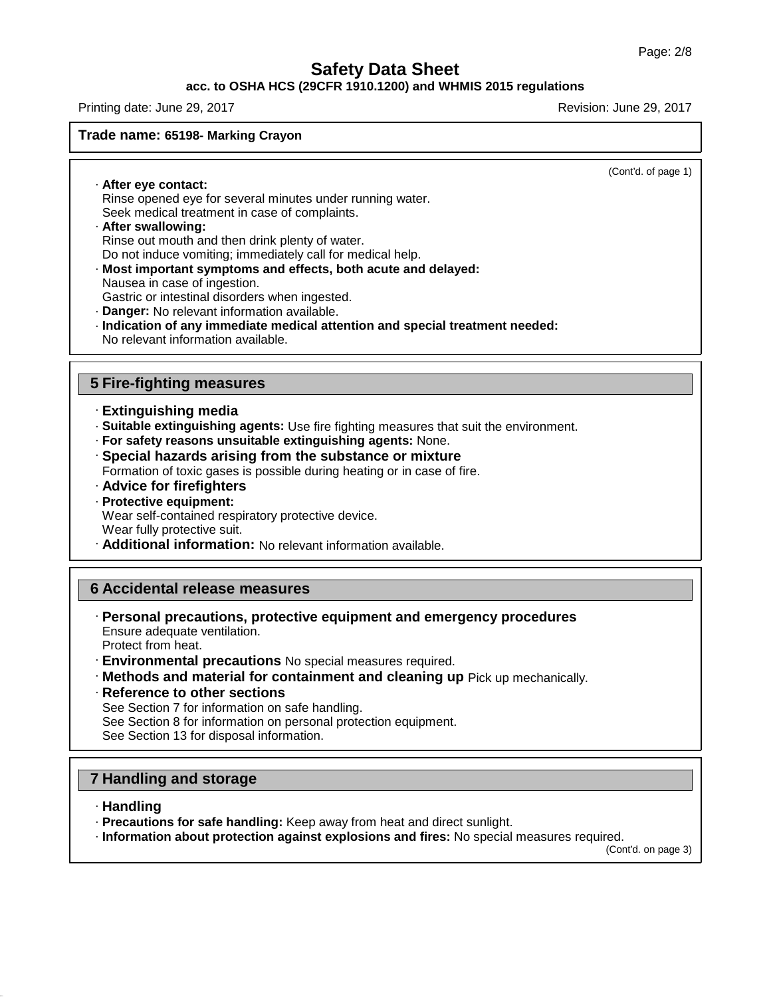### **acc. to OSHA HCS (29CFR 1910.1200) and WHMIS 2015 regulations**

Printing date: June 29, 2017 **Revision: June 29, 2017** Revision: June 29, 2017

**Trade name: 65198- Marking Crayon**

(Cont'd. of page 1)

· **After eye contact:** Rinse opened eye for several minutes under running water. Seek medical treatment in case of complaints.

- · **After swallowing:** Rinse out mouth and then drink plenty of water. Do not induce vomiting; immediately call for medical help.
- · **Most important symptoms and effects, both acute and delayed:**
- Nausea in case of ingestion.

Gastric or intestinal disorders when ingested.

· **Danger:** No relevant information available.

· **Indication of any immediate medical attention and special treatment needed:** No relevant information available.

## **5 Fire-fighting measures**

- · **Extinguishing media**
- · **Suitable extinguishing agents:** Use fire fighting measures that suit the environment.
- · **For safety reasons unsuitable extinguishing agents:** None.
- · **Special hazards arising from the substance or mixture** Formation of toxic gases is possible during heating or in case of fire.
- · **Advice for firefighters**

### · **Protective equipment:** Wear self-contained respiratory protective device. Wear fully protective suit. · **Additional information:** No relevant information available.

## **6 Accidental release measures**

- · **Personal precautions, protective equipment and emergency procedures** Ensure adequate ventilation. Protect from heat.
- · **Environmental precautions** No special measures required.
- · **Methods and material for containment and cleaning up** Pick up mechanically.
- · **Reference to other sections** See Section 7 for information on safe handling. See Section 8 for information on personal protection equipment. See Section 13 for disposal information.

## **7 Handling and storage**

· **Handling**

45.1.0

- · **Precautions for safe handling:** Keep away from heat and direct sunlight.
- · **Information about protection against explosions and fires:** No special measures required.

(Cont'd. on page 3)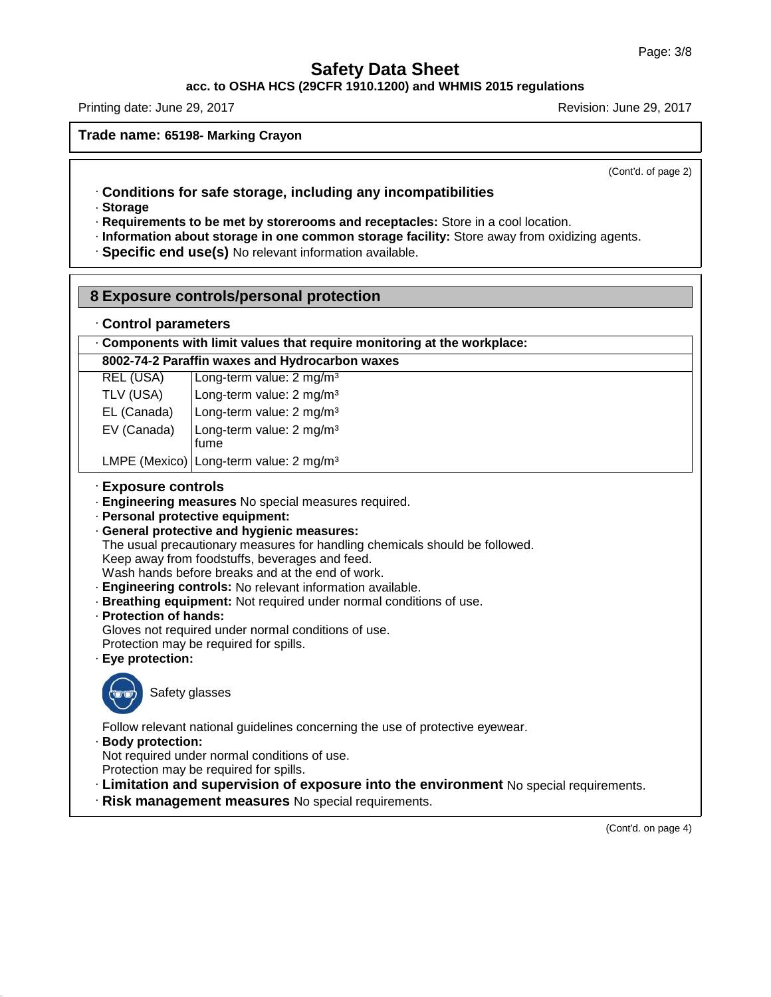**acc. to OSHA HCS (29CFR 1910.1200) and WHMIS 2015 regulations**

Printing date: June 29, 2017 **Revision: June 29, 2017** Revision: June 29, 2017

**Trade name: 65198- Marking Crayon**

(Cont'd. of page 2)

- · **Conditions for safe storage, including any incompatibilities**
- · **Storage**
- · **Requirements to be met by storerooms and receptacles:** Store in a cool location.
- · **Information about storage in one common storage facility:** Store away from oxidizing agents.
- · **Specific end use(s)** No relevant information available.

## **8 Exposure controls/personal protection**

· **Control parameters**

· **Components with limit values that require monitoring at the workplace:**

## **8002-74-2 Paraffin waxes and Hydrocarbon waxes**

| REL (USA)   | Long-term value: 2 mg/m <sup>3</sup>         |
|-------------|----------------------------------------------|
| TLV (USA)   | Long-term value: 2 mg/m <sup>3</sup>         |
| EL (Canada) | Long-term value: 2 mg/m <sup>3</sup>         |
| EV (Canada) | Long-term value: 2 mg/m <sup>3</sup><br>fume |

LMPE (Mexico) Long-term value: 2 mg/m<sup>3</sup>

### · **Exposure controls**

- · **Engineering measures** No special measures required.
- · **Personal protective equipment:**
- · **General protective and hygienic measures:**

The usual precautionary measures for handling chemicals should be followed.

Keep away from foodstuffs, beverages and feed.

- Wash hands before breaks and at the end of work.
- · **Engineering controls:** No relevant information available.
- · **Breathing equipment:** Not required under normal conditions of use.
- · **Protection of hands:**

Gloves not required under normal conditions of use.

Protection may be required for spills.

· **Eye protection:**



45.1.0

Follow relevant national guidelines concerning the use of protective eyewear.

· **Body protection:**

Not required under normal conditions of use.

- Protection may be required for spills.
- · **Limitation and supervision of exposure into the environment** No special requirements.
- · **Risk management measures** No special requirements.

(Cont'd. on page 4)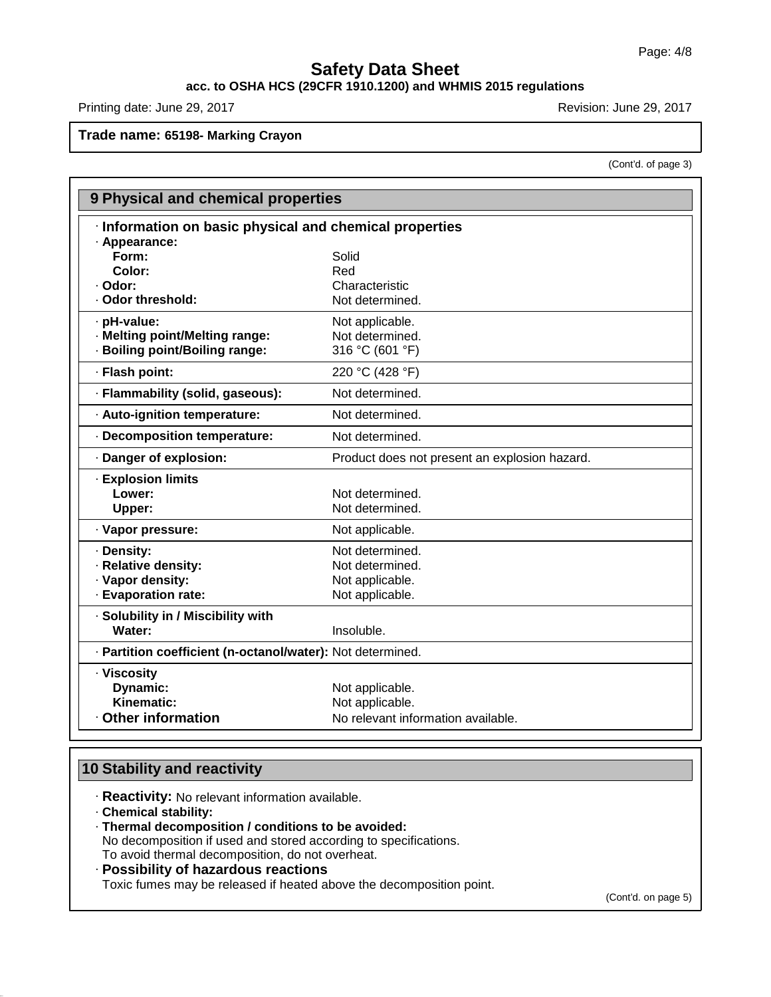# **acc. to OSHA HCS (29CFR 1910.1200) and WHMIS 2015 regulations**

Printing date: June 29, 2017 **Revision: June 29, 2017** Revision: June 29, 2017

**Trade name: 65198- Marking Crayon**

(Cont'd. of page 3)

| 9 Physical and chemical properties                         |                                               |
|------------------------------------------------------------|-----------------------------------------------|
| · Information on basic physical and chemical properties    |                                               |
| · Appearance:                                              |                                               |
| Form:                                                      | Solid                                         |
| Color:                                                     | Red                                           |
| · Odor:                                                    | Characteristic                                |
| · Odor threshold:                                          | Not determined.                               |
| · pH-value:                                                | Not applicable.                               |
| · Melting point/Melting range:                             | Not determined.                               |
| · Boiling point/Boiling range:                             | 316 °C (601 °F)                               |
| · Flash point:                                             | 220 °C (428 °F)                               |
| · Flammability (solid, gaseous):                           | Not determined.                               |
| · Auto-ignition temperature:                               | Not determined.                               |
| · Decomposition temperature:                               | Not determined.                               |
| · Danger of explosion:                                     | Product does not present an explosion hazard. |
| <b>Explosion limits</b>                                    |                                               |
| Lower:                                                     | Not determined.                               |
| Upper:                                                     | Not determined.                               |
| · Vapor pressure:                                          | Not applicable.                               |
| · Density:                                                 | Not determined.                               |
| · Relative density:                                        | Not determined.                               |
| · Vapor density:                                           | Not applicable.                               |
| · Evaporation rate:                                        | Not applicable.                               |
| · Solubility in / Miscibility with                         |                                               |
| Water:                                                     | Insoluble.                                    |
| · Partition coefficient (n-octanol/water): Not determined. |                                               |
| · Viscosity                                                |                                               |
| Dynamic:                                                   | Not applicable.                               |
| Kinematic:                                                 | Not applicable.                               |
| Other information                                          | No relevant information available.            |

## **10 Stability and reactivity**

· **Reactivity:** No relevant information available.

· **Chemical stability:**

45.1.0

· **Thermal decomposition / conditions to be avoided:**

No decomposition if used and stored according to specifications. To avoid thermal decomposition, do not overheat.

# · **Possibility of hazardous reactions**

Toxic fumes may be released if heated above the decomposition point.

(Cont'd. on page 5)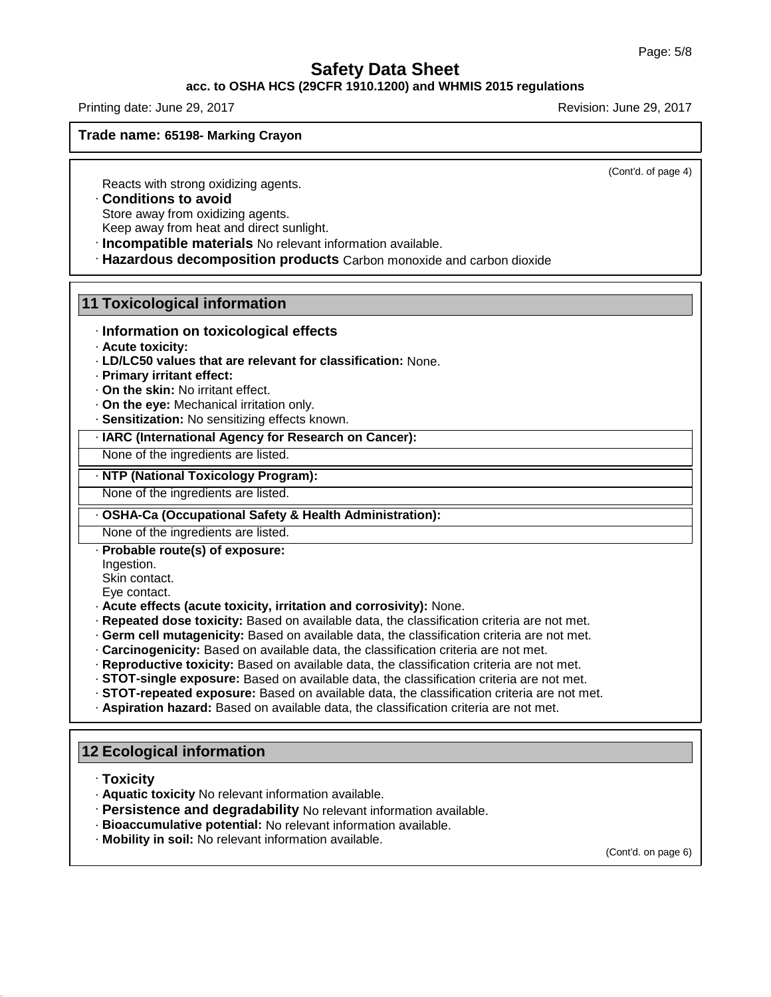## **acc. to OSHA HCS (29CFR 1910.1200) and WHMIS 2015 regulations**

Printing date: June 29, 2017 **Revision: June 29, 2017** Revision: June 29, 2017

**Trade name: 65198- Marking Crayon**

(Cont'd. of page 4)

Reacts with strong oxidizing agents.

### · **Conditions to avoid**

Store away from oxidizing agents.

Keep away from heat and direct sunlight.

· **Incompatible materials** No relevant information available.

· **Hazardous decomposition products** Carbon monoxide and carbon dioxide

### **11 Toxicological information**

- · **Information on toxicological effects**
- · **Acute toxicity:**
- · **LD/LC50 values that are relevant for classification:** None.
- · **Primary irritant effect:**
- · **On the skin:** No irritant effect.
- · **On the eye:** Mechanical irritation only.
- · **Sensitization:** No sensitizing effects known.

### · **IARC (International Agency for Research on Cancer):**

None of the ingredients are listed.

### · **NTP (National Toxicology Program):**

None of the ingredients are listed.

### · **OSHA-Ca (Occupational Safety & Health Administration):**

None of the ingredients are listed.

· **Probable route(s) of exposure:**

Ingestion.

Skin contact.

Eye contact.

- · **Acute effects (acute toxicity, irritation and corrosivity):** None.
- · **Repeated dose toxicity:** Based on available data, the classification criteria are not met.
- · **Germ cell mutagenicity:** Based on available data, the classification criteria are not met.
- · **Carcinogenicity:** Based on available data, the classification criteria are not met.
- · **Reproductive toxicity:** Based on available data, the classification criteria are not met.
- · **STOT-single exposure:** Based on available data, the classification criteria are not met.
- · **STOT-repeated exposure:** Based on available data, the classification criteria are not met.
- · **Aspiration hazard:** Based on available data, the classification criteria are not met.

## **12 Ecological information**

· **Toxicity**

45.1.0

- · **Aquatic toxicity** No relevant information available.
- · **Persistence and degradability** No relevant information available.
- · **Bioaccumulative potential:** No relevant information available.
- · **Mobility in soil:** No relevant information available.

(Cont'd. on page 6)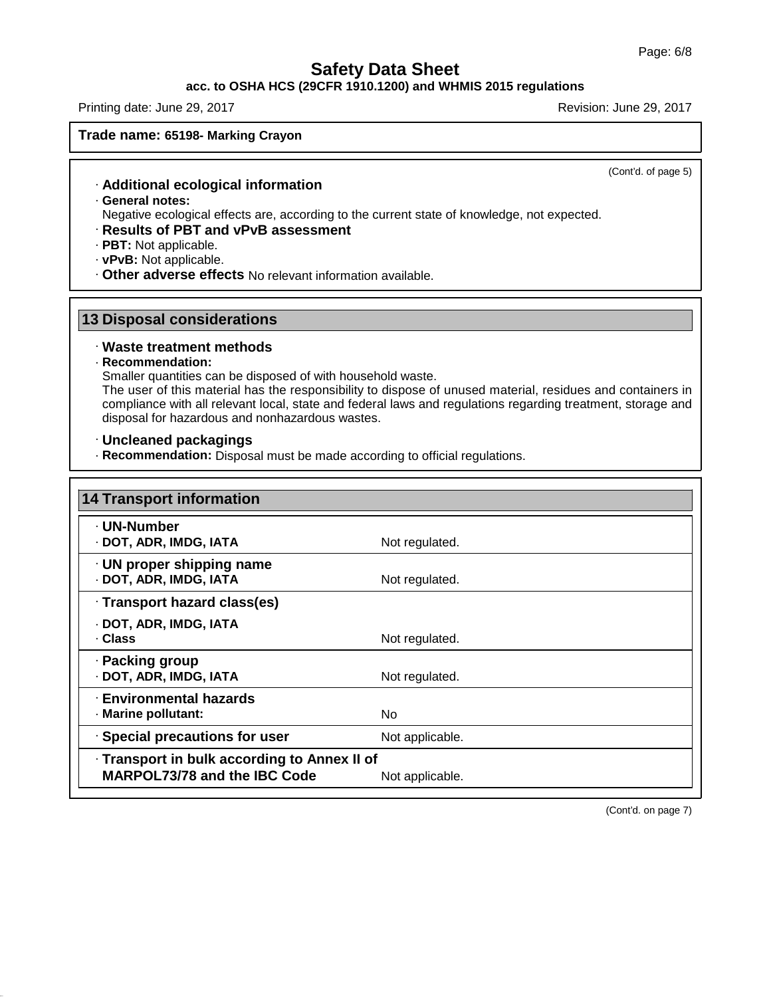## **acc. to OSHA HCS (29CFR 1910.1200) and WHMIS 2015 regulations**

Printing date: June 29, 2017 **Revision: June 29, 2017** Revision: June 29, 2017

**Trade name: 65198- Marking Crayon**

(Cont'd. of page 5)

- · **Additional ecological information**
- · **General notes:**

Negative ecological effects are, according to the current state of knowledge, not expected.

- · **Results of PBT and vPvB assessment**
- · **PBT:** Not applicable.

· **vPvB:** Not applicable.

· **Other adverse effects** No relevant information available.

## **13 Disposal considerations**

### · **Waste treatment methods**

### · **Recommendation:**

45.1.0

Smaller quantities can be disposed of with household waste.

The user of this material has the responsibility to dispose of unused material, residues and containers in compliance with all relevant local, state and federal laws and regulations regarding treatment, storage and disposal for hazardous and nonhazardous wastes.

### · **Uncleaned packagings**

· **Recommendation:** Disposal must be made according to official regulations.

| <b>14 Transport information</b>                                              |                 |
|------------------------------------------------------------------------------|-----------------|
| · UN-Number<br>· DOT, ADR, IMDG, IATA                                        | Not regulated.  |
| · UN proper shipping name<br>· DOT, ADR, IMDG, IATA                          | Not regulated.  |
| · Transport hazard class(es)                                                 |                 |
| · DOT, ADR, IMDG, IATA<br>· Class                                            | Not regulated.  |
| · Packing group<br>· DOT, ADR, IMDG, IATA                                    | Not regulated.  |
| <b>Environmental hazards</b><br>· Marine pollutant:                          | No.             |
| · Special precautions for user                                               | Not applicable. |
| · Transport in bulk according to Annex II of<br>MARPOL73/78 and the IBC Code | Not applicable. |

(Cont'd. on page 7)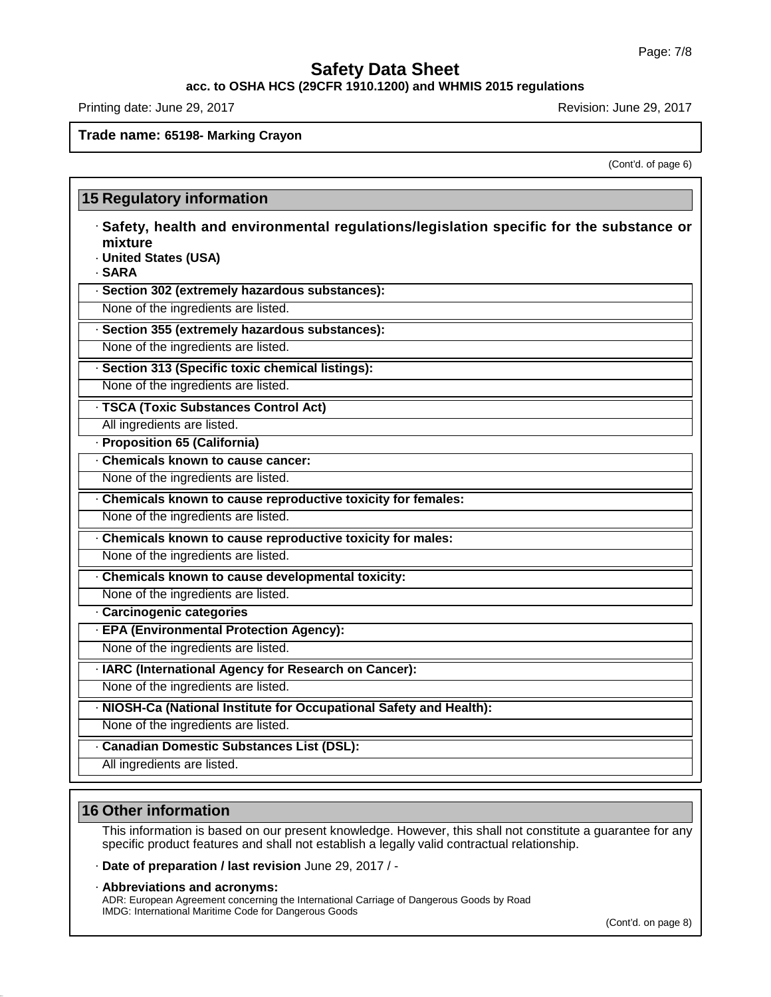**acc. to OSHA HCS (29CFR 1910.1200) and WHMIS 2015 regulations**

Printing date: June 29, 2017 **Revision: June 29, 2017** Revision: June 29, 2017

### **Trade name: 65198- Marking Crayon**

(Cont'd. of page 6)

| <b>15 Regulatory information</b>                                                                                                       |  |
|----------------------------------------------------------------------------------------------------------------------------------------|--|
| · Safety, health and environmental regulations/legislation specific for the substance or<br>mixture<br>· United States (USA)<br>· SARA |  |
| · Section 302 (extremely hazardous substances):                                                                                        |  |
| None of the ingredients are listed.                                                                                                    |  |
| · Section 355 (extremely hazardous substances):                                                                                        |  |
| None of the ingredients are listed.                                                                                                    |  |
| · Section 313 (Specific toxic chemical listings):                                                                                      |  |
| None of the ingredients are listed.                                                                                                    |  |
| · TSCA (Toxic Substances Control Act)                                                                                                  |  |
| All ingredients are listed.                                                                                                            |  |
| - Proposition 65 (California)                                                                                                          |  |
| Chemicals known to cause cancer:                                                                                                       |  |
| None of the ingredients are listed.                                                                                                    |  |
| . Chemicals known to cause reproductive toxicity for females:                                                                          |  |
| None of the ingredients are listed.                                                                                                    |  |
| Chemicals known to cause reproductive toxicity for males:                                                                              |  |
| None of the ingredients are listed.                                                                                                    |  |
| Chemicals known to cause developmental toxicity:                                                                                       |  |
| None of the ingredients are listed.                                                                                                    |  |
| · Carcinogenic categories                                                                                                              |  |
| · EPA (Environmental Protection Agency):                                                                                               |  |
| None of the ingredients are listed.                                                                                                    |  |
| · IARC (International Agency for Research on Cancer):                                                                                  |  |
| None of the ingredients are listed.                                                                                                    |  |
| · NIOSH-Ca (National Institute for Occupational Safety and Health):                                                                    |  |
| None of the ingredients are listed.                                                                                                    |  |
| · Canadian Domestic Substances List (DSL):                                                                                             |  |
| All ingredients are listed.                                                                                                            |  |

# **16 Other information**

45.1.0

This information is based on our present knowledge. However, this shall not constitute a guarantee for any specific product features and shall not establish a legally valid contractual relationship.

· **Date of preparation / last revision** June 29, 2017 / -

· **Abbreviations and acronyms:**

ADR: European Agreement concerning the International Carriage of Dangerous Goods by Road IMDG: International Maritime Code for Dangerous Goods

(Cont'd. on page 8)